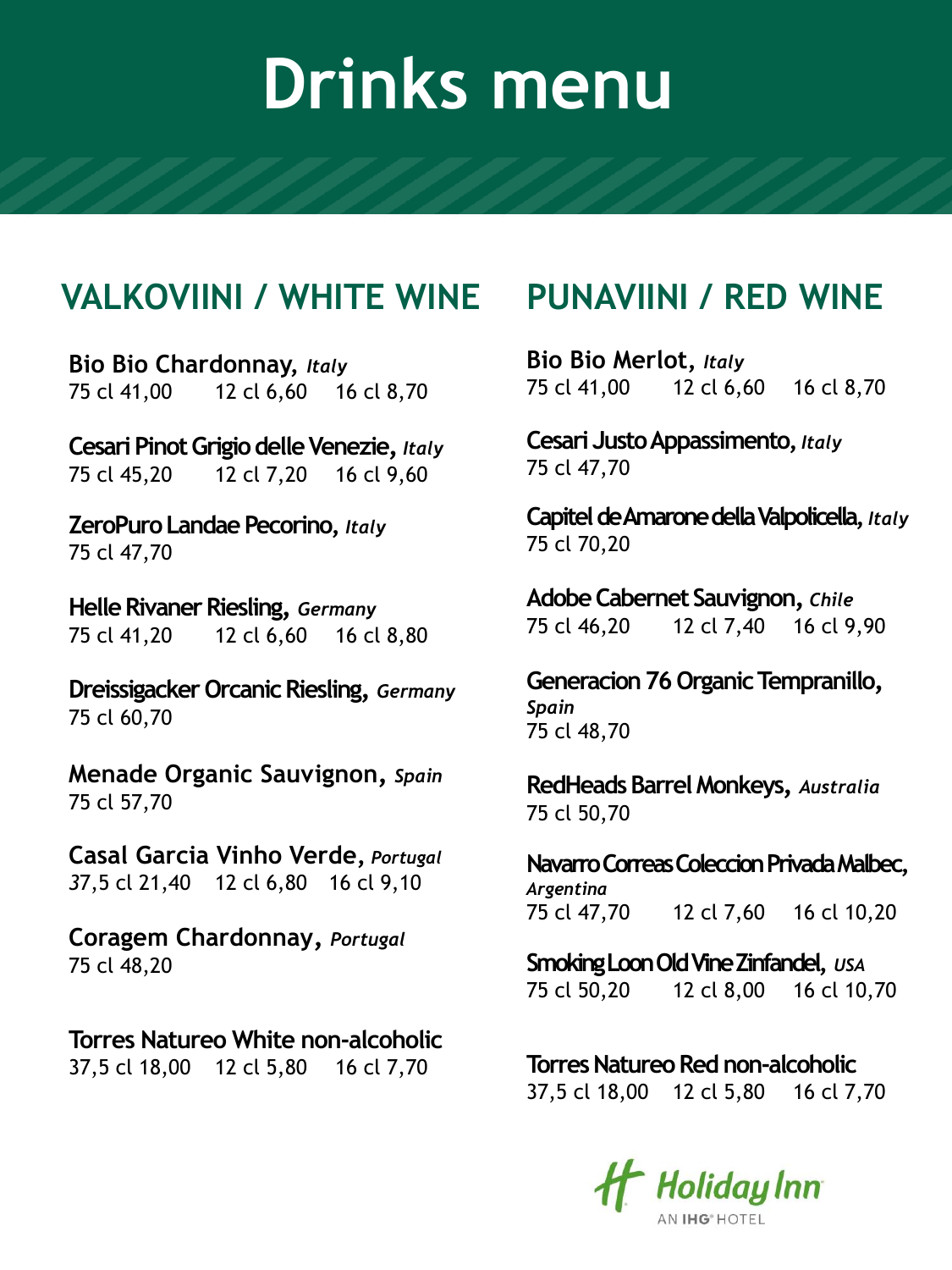#### **VALKOVIINI / WHITE WINE**

**Bio Bio Chardonnay,** *Italy* 75 cl 41,00 12 cl 6,60 16 cl 8,70

**CesariPinot GrigiodelleVenezie,** *Italy* 75 cl 45,20 12 cl 7,20 16 cl 9,60

**ZeroPuroLandaePecorino,** *Italy* 75 cl 47,70

**Helle Rivaner Riesling,** *Germany* 75 cl 41,20 12 cl 6,60 16 cl 8,80

**Dreissigacker OrcanicRiesling,** *Germany* 75 cl 60,70

**Menade Organic Sauvignon,** *Spain* 75 cl 57,70

**Casal Garcia Vinho Verde,** *Portugal 3*7,5 cl 21,40 12 cl 6,80 16 cl 9,10

**Coragem Chardonnay,** *Portugal* 75 cl 48,20

**Torres Natureo White non-alcoholic** 37,5 cl 18,00 12 cl 5,80 16 cl 7,70

#### **PUNAVIINI / RED WINE**

**Bio Bio Merlot,** *Italy* 75 cl 41,00 12 cl 6,60 16 cl 8,70

**Cesari JustoAppassimento,** *Italy* 75 cl 47,70

**Capitelde Amarone della Valpolicella,** *Italy* 75 cl 70,20

**Adobe Cabernet Sauvignon,** *Chile* 75 cl 46,20 12 cl 7,40 16 cl 9,90

**Generacion76 Organic Tempranillo,**  *Spain* 75 cl 48,70

**RedHeadsBarrel Monkeys,** *Australia* 75 cl 50,70

**Navarro Correas Coleccion Privada Malbec,** *Argentina* 75 cl 47,70 12 cl 7,60 16 cl 10,20

**Smoking Loon Old Vine Zinfandel,** *USA* 75 cl 50,20 12 cl 8,00 16 cl 10,70

**Torres Natureo Red non-alcoholic** 37,5 cl 18,00 12 cl 5,80 16 cl 7,70

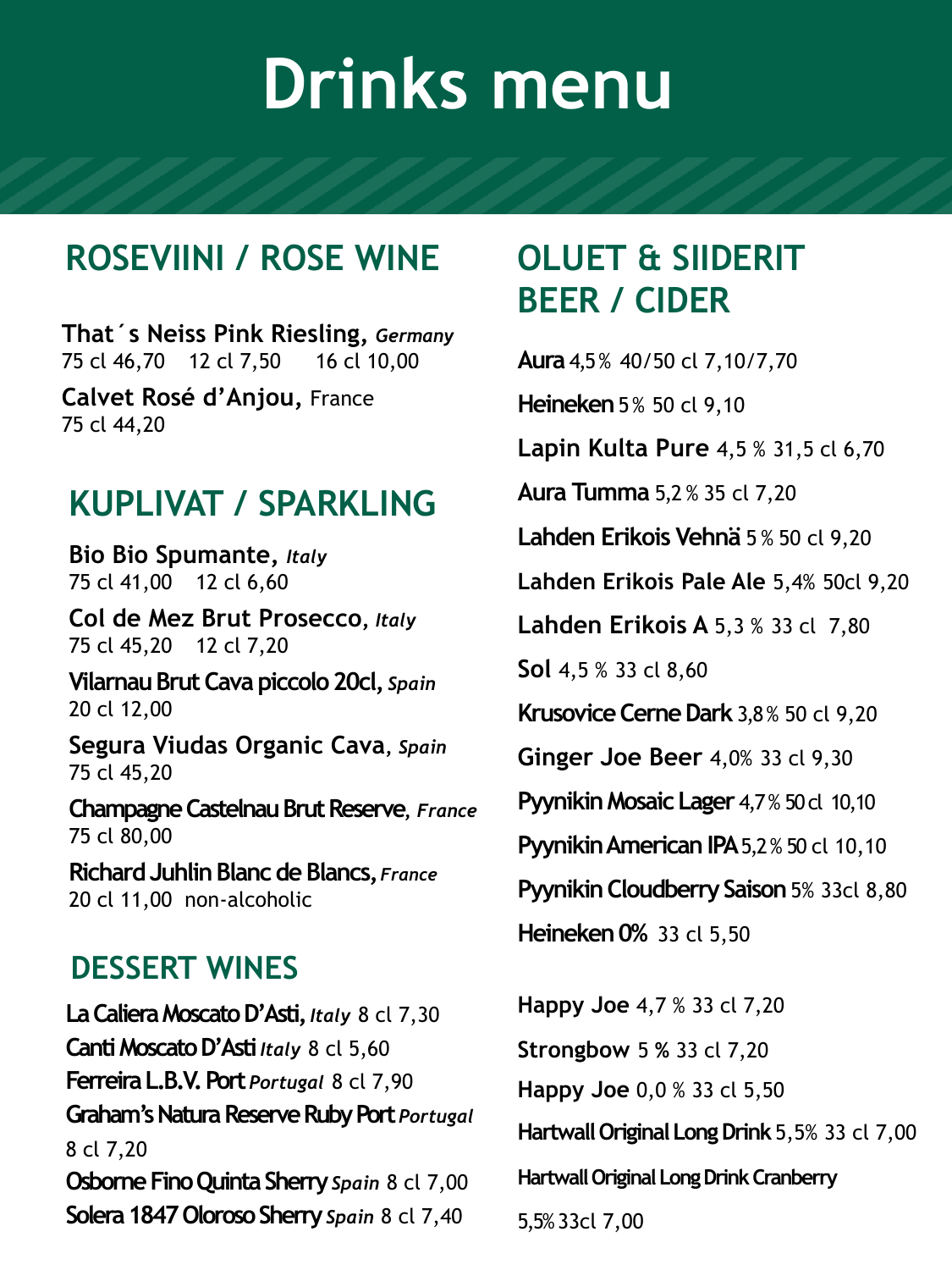### **ROSEVIINI / ROSE WINE**

**That´s Neiss Pink Riesling,** *Germany* 75 cl 46,70 12 cl 7,50 16 cl 10,00

**Calvet Rosé d'Anjou,** France 75 cl 44,20

#### **KUPLIVAT / SPARKLING**

**Bio Bio Spumante,** *Italy* 75 cl 41,00 12 cl 6,60

**Col de Mez Brut Prosecco,** *Italy* 75 cl 45,20 12 cl 7,20

**VilarnauBrut Cava piccolo 20cl,** *Spain* 20 cl 12,00

**Segura Viudas Organic Cava,** *Spain* 75 cl 45,20

**Champagne CastelnauBrut Reserve,** *France* 75 cl 80,00

**Richard JuhlinBlanc de Blancs,** *France* 20 cl 11,00 non-alcoholic

#### **DESSERT WINES**

**La CalieraMoscato D'Asti,** *Italy* 8 cl 7,30 **Canti Moscato D'Asti** *Italy* 8 cl 5,60 **Ferreira L.B.V. Port** *Portugal* 8 cl 7,90 **Graham's Natura Reserve Ruby Port** *Portugal* 8 cl 7,20 **Osborne FinoQuinta Sherry** *Spain* 8 cl 7,00 **Solera 1847 Oloroso Sherry** *Spain* 8 cl 7,40

### **OLUET & SIIDERIT BEER / CIDER**

**Aura** 4,5 % 40/50 cl 7,10/7,70

**Heineken** 5 % 50 cl 9,10

**Lapin Kulta Pure** 4,5 % 31,5 cl 6,70

**Aura Tumma** 5,2 % 35 cl 7,20

**Lahden Erikois Vehnä** 5 % 50 cl 9,20

**Lahden Erikois Pale Ale** 5,4% 50cl 9,20

**Lahden Erikois A** 5,3 % 33 cl 7,80

**Sol** 4,5 % 33 cl 8,60

**Krusovice Cerne Dark** 3,8% 50 cl 9,20

**Ginger Joe Beer** 4,0% 33 cl 9,30

**Pyynikin Mosaic Lager 4,7 % 50 cl 10,10** 

**PyynikinAmerican IPA** 5,2 % 50 cl 10,10

**PyynikinCloudberry Saison** 5% 33cl 8,80

**Heineken 0%** 33 cl 5,50

**Happy Joe** 4,7 % 33 cl 7,20 **Strongbow** 5 **%** 33 cl 7,20 **Happy Joe** 0,0 % 33 cl 5,50 **HartwallOriginal Long Drink** 5,5% 33 cl 7,00 **HartwallOriginal Long Drink Cranberry** 5,5% 33cl 7,00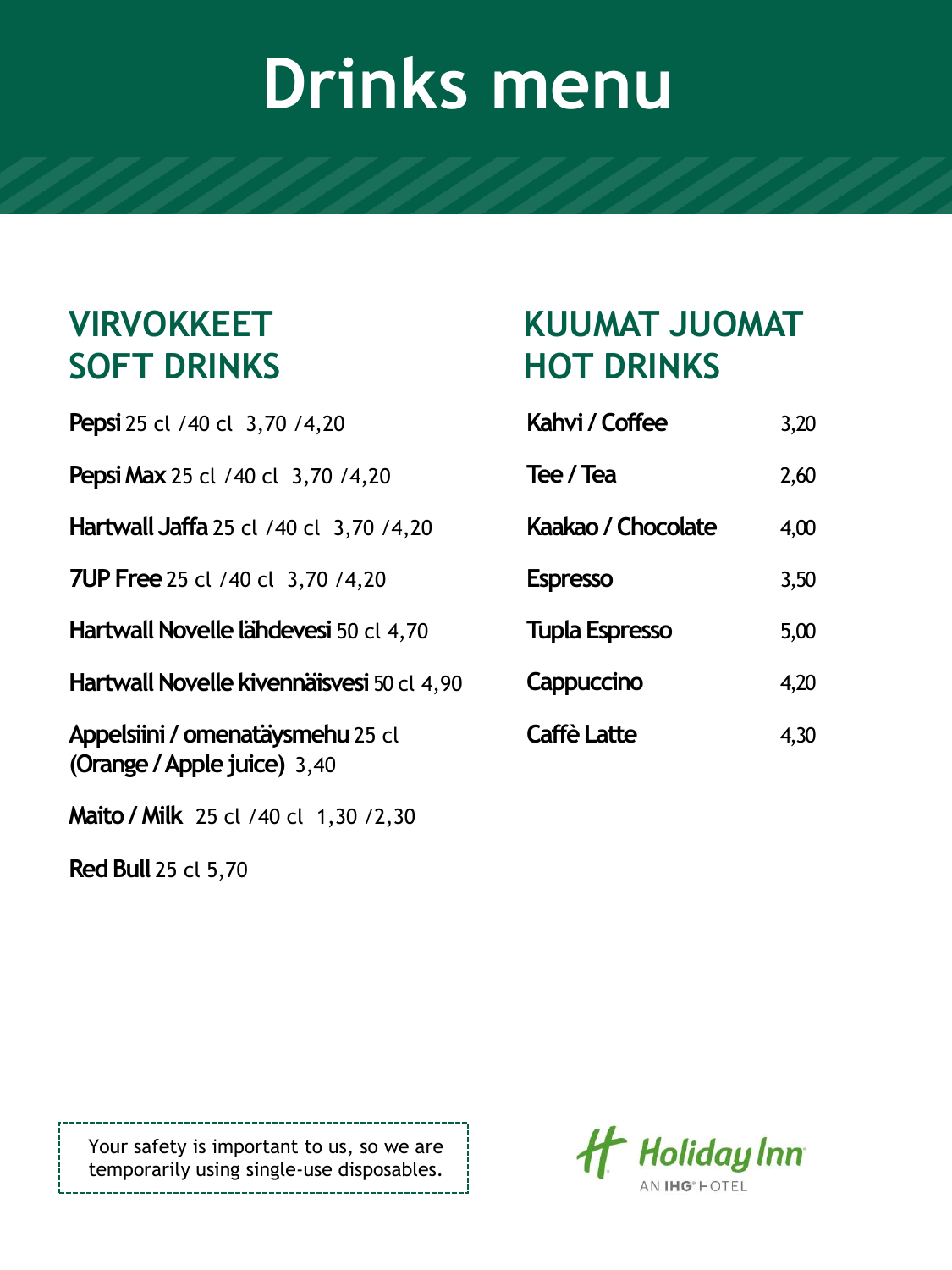#### **VIRVOKKEET SOFT DRINKS**

| <b>Pepsi</b> 25 cl /40 cl 3,70 /4,20                            |  |  |
|-----------------------------------------------------------------|--|--|
| <b>Pepsi Max</b> 25 cl /40 cl 3,70 /4,20                        |  |  |
| <b>Hartwall Jaffa 25 cl /40 cl 3,70 /4,20</b>                   |  |  |
| <b>7UP Free 25 cl /40 cl 3,70 /4,20</b>                         |  |  |
| <b>Hartwall Novelle lähdevesi</b> 50 cl 4,70                    |  |  |
| Hartwall Novelle kivennäisvesi 50 cl 4,90                       |  |  |
| Appelsiini / omenatäysmehu 25 cl<br>(Orange / Apple juice) 3,40 |  |  |
| <b>Maito / Milk</b> 25 cl / 40 cl 1,30 / 2,30                   |  |  |

**Red Bull** 25 cl 5,70

#### **KUUMAT JUOMAT HOT DRINKS**

| Kahvi / Coffee        | 3,20 |
|-----------------------|------|
| Tee / Tea             | 2,60 |
| Kaakao / Chocolate    | 4,00 |
| <b>Espresso</b>       | 3,50 |
| <b>Tupla Espresso</b> | 5,00 |
| Cappuccino            | 4,20 |
| <b>Caffè Latte</b>    | 4,30 |

Your safety is important to us, so we are temporarily using single-use disposables.

\_\_\_\_\_\_\_\_\_\_\_\_\_\_\_\_\_\_